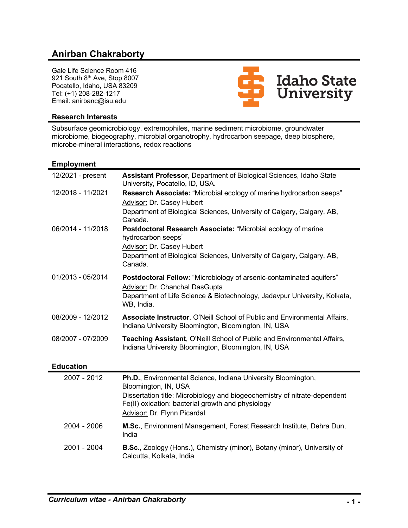# **Anirban Chakraborty**

Gale Life Science Room 416 921 South 8th Ave, Stop 8007 Pocatello, Idaho, USA 83209 Tel: (+1) 208-282-1217 Email: anirbanc@isu.edu



#### **Research Interests**

Subsurface geomicrobiology, extremophiles, marine sediment microbiome, groundwater microbiome, biogeography, microbial organotrophy, hydrocarbon seepage, deep biosphere, microbe-mineral interactions, redox reactions

#### **Employment**

| 12/2021 - present | Assistant Professor, Department of Biological Sciences, Idaho State<br>University, Pocatello, ID, USA.                                                                                                                                                        |
|-------------------|---------------------------------------------------------------------------------------------------------------------------------------------------------------------------------------------------------------------------------------------------------------|
| 12/2018 - 11/2021 | Research Associate: "Microbial ecology of marine hydrocarbon seeps"<br>Advisor: Dr. Casey Hubert<br>Department of Biological Sciences, University of Calgary, Calgary, AB,<br>Canada.                                                                         |
| 06/2014 - 11/2018 | Postdoctoral Research Associate: "Microbial ecology of marine<br>hydrocarbon seeps"<br><b>Advisor: Dr. Casey Hubert</b><br>Department of Biological Sciences, University of Calgary, Calgary, AB,<br>Canada.                                                  |
| 01/2013 - 05/2014 | Postdoctoral Fellow: "Microbiology of arsenic-contaminated aquifers"<br>Advisor: Dr. Chanchal DasGupta<br>Department of Life Science & Biotechnology, Jadavpur University, Kolkata,<br>WB, India.                                                             |
| 08/2009 - 12/2012 | Associate Instructor, O'Neill School of Public and Environmental Affairs,<br>Indiana University Bloomington, Bloomington, IN, USA                                                                                                                             |
| 08/2007 - 07/2009 | Teaching Assistant, O'Neill School of Public and Environmental Affairs,<br>Indiana University Bloomington, Bloomington, IN, USA                                                                                                                               |
| <b>Education</b>  |                                                                                                                                                                                                                                                               |
| 2007 - 2012       | Ph.D., Environmental Science, Indiana University Bloomington,<br>Bloomington, IN, USA<br>Dissertation title: Microbiology and biogeochemistry of nitrate-dependent<br>Fe(II) oxidation: bacterial growth and physiology<br><b>Advisor: Dr. Flynn Picardal</b> |
| 2004 - 2006       | M.Sc., Environment Management, Forest Research Institute, Dehra Dun,<br>India                                                                                                                                                                                 |
| 2001 - 2004       | B.Sc., Zoology (Hons.), Chemistry (minor), Botany (minor), University of<br>Calcutta, Kolkata, India                                                                                                                                                          |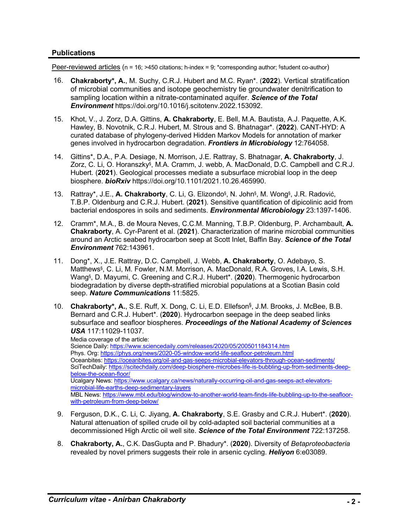### **Publications**

Peer-reviewed articles ( $n = 16$ ; >450 citations; h-index = 9; \*corresponding author; §student co-author)

- 16. **Chakraborty\*, A.**, M. Suchy, C.R.J. Hubert and M.C. Ryan\*. (**2022**). Vertical stratification of microbial communities and isotope geochemistry tie groundwater denitrification to sampling location within a nitrate-contaminated aquifer. *Science of the Total Environment* https://doi.org/10.1016/j.scitotenv.2022.153092.
- 15. Khot, V., J. Zorz, D.A. Gittins, **A. Chakraborty**, E. Bell, M.A. Bautista, A.J. Paquette, A.K. Hawley, B. Novotnik, C.R.J. Hubert, M. Strous and S. Bhatnagar\*. (**2022**). CANT-HYD: A curated database of phylogeny-derived Hidden Markov Models for annotation of marker genes involved in hydrocarbon degradation. *Frontiers in Microbiology* 12:764058.
- 14. Gittins\*, D.A., P.A. Desiage, N. Morrison, J.E. Rattray, S. Bhatnagar, **A. Chakraborty**, J. Zorz, C. Li, O. Horanszky§, M.A. Cramm, J. webb, A. MacDonald, D.C. Campbell and C.R.J. Hubert. (**2021**). Geological processes mediate a subsurface microbial loop in the deep biosphere. *bioRxiv* https://doi.org/10.1101/2021.10.26.465990.
- 13. Rattray\*, J.E., **A. Chakraborty**, C. Li, G. Elizondo§, N. John§, M. Wong§, J.R. Radović, T.B.P. Oldenburg and C.R.J. Hubert. (**2021**). Sensitive quantification of dipicolinic acid from bacterial endospores in soils and sediments. *Environmental Microbiology* 23:1397-1406.
- 12. Cramm\*, M.A., B. de Moura Neves, C.C.M. Manning, T.B.P. Oldenburg, P. Archambault, **A. Chakraborty**, A. Cyr-Parent et al. (**2021**). Characterization of marine microbial communities around an Arctic seabed hydrocarbon seep at Scott Inlet, Baffin Bay. *Science of the Total Environment* 762:143961.
- 11. Dong\*, X., J.E. Rattray, D.C. Campbell, J. Webb, **A. Chakraborty**, O. Adebayo, S. Matthews§, C. Li, M. Fowler, N.M. Morrison, A. MacDonald, R.A. Groves, I.A. Lewis, S.H. Wang§, D. Mayumi, C. Greening and C.R.J. Hubert\*. (**2020**). Thermogenic hydrocarbon biodegradation by diverse depth-stratified microbial populations at a Scotian Basin cold seep. *Nature Communications* 11:5825.
- 10. **Chakraborty\*, A.**, S.E. Ruff, X. Dong, C. Li, E.D. Ellefson§ , J.M. Brooks, J. McBee, B.B. Bernard and C.R.J. Hubert\*. (**2020**). Hydrocarbon seepage in the deep seabed links subsurface and seafloor biospheres. *Proceedings of the National Academy of Sciences USA* 117:11029-11037.

Media coverage of the article:

Science Daily: https://www.sciencedaily.com/releases/2020/05/200501184314.htm Phys. Org: https://phys.org/news/2020-05-window-world-life-seafloor-petroleum.html Oceanbites: https://oceanbites.org/oil-and-gas-seeps-microbial-elevators-through-ocean-sediments/ SciTechDaily: https://scitechdaily.com/deep-biosphere-microbes-life-is-bubbling-up-from-sediments-deepbelow-the-ocean-floor/ Ucalgary News: https://www.ucalgary.ca/news/naturally-occurring-oil-and-gas-seeps-act-elevatorsmicrobial-life-earths-deep-sedimentary-layers MBL News: https://www.mbl.edu/blog/window-to-another-world-team-finds-life-bubbling-up-to-the-seafloorwith-petroleum-from-deep-below/

- 9. Ferguson, D.K., C. Li, C. Jiyang, **A. Chakraborty**, S.E. Grasby and C.R.J. Hubert\*. (**2020**). Natural attenuation of spilled crude oil by cold-adapted soil bacterial communities at a decommissioned High Arctic oil well site. *Science of the Total Environment* 722:137258.
- 8. **Chakraborty, A.**, C.K. DasGupta and P. Bhadury\*. (**2020**). Diversity of *Betaproteobacteria* revealed by novel primers suggests their role in arsenic cycling. *Heliyon* 6:e03089.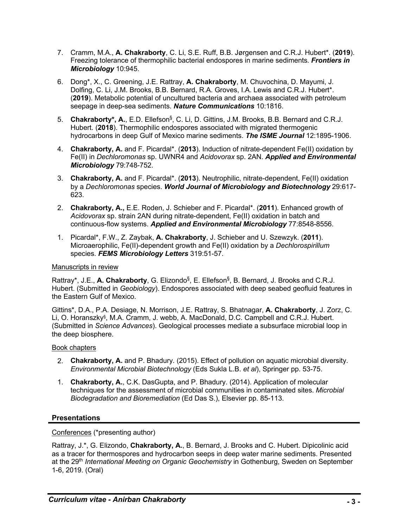- 7. Cramm, M.A., **A. Chakraborty**, C. Li, S.E. Ruff, B.B. Jørgensen and C.R.J. Hubert\*. (**2019**). Freezing tolerance of thermophilic bacterial endospores in marine sediments. *Frontiers in Microbiology* 10:945.
- 6. Dong\*, X., C. Greening, J.E. Rattray, **A. Chakraborty**, M. Chuvochina, D. Mayumi, J. Dolfing, C. Li, J.M. Brooks, B.B. Bernard, R.A. Groves, I.A. Lewis and C.R.J. Hubert\*. (**2019**). Metabolic potential of uncultured bacteria and archaea associated with petroleum seepage in deep-sea sediments. *Nature Communications* 10:1816.
- 5. Chakraborty\*, A., E.D. Ellefson<sup>§</sup>, C. Li, D. Gittins, J.M. Brooks, B.B. Bernard and C.R.J. Hubert. (**2018**). Thermophilic endospores associated with migrated thermogenic hydrocarbons in deep Gulf of Mexico marine sediments. *The ISME Journal* 12:1895-1906.
- 4. **Chakraborty, A.** and F. Picardal\*. (**2013**). Induction of nitrate-dependent Fe(II) oxidation by Fe(II) in *Dechloromonas* sp. UWNR4 and *Acidovorax* sp. 2AN. *Applied and Environmental Microbiology* 79:748-752.
- 3. **Chakraborty, A.** and F. Picardal\*. (**2013**). Neutrophilic, nitrate-dependent, Fe(II) oxidation by a *Dechloromonas* species. *World Journal of Microbiology and Biotechnology* 29:617- 623.
- 2. **Chakraborty, A.,** E.E. Roden, J. Schieber and F. Picardal\*. (**2011**). Enhanced growth of *Acidovorax* sp. strain 2AN during nitrate-dependent, Fe(II) oxidation in batch and continuous-flow systems. *Applied and Environmental Microbiology* 77:8548-8556.
- 1. Picardal\*, F.W., Z. Zaybak, **A. Chakraborty**, J. Schieber and U. Szewzyk. (**2011**). Microaerophilic, Fe(II)-dependent growth and Fe(II) oxidation by a *Dechlorospirillum* species. *FEMS Microbiology Letters* 319:51-57.

#### Manuscripts in review

Rattray\*, J.E., A. Chakraborty, G. Elizondo<sup>§</sup>, E. Ellefson<sup>§</sup>, B. Bernard, J. Brooks and C.R.J. Hubert. (Submitted in *Geobiology*). Endospores associated with deep seabed geofluid features in the Eastern Gulf of Mexico.

Gittins\*, D.A., P.A. Desiage, N. Morrison, J.E. Rattray, S. Bhatnagar, **A. Chakraborty**, J. Zorz, C. Li, O. Horanszky§, M.A. Cramm, J. webb, A. MacDonald, D.C. Campbell and C.R.J. Hubert. (Submitted in *Science Advances*). Geological processes mediate a subsurface microbial loop in the deep biosphere.

# Book chapters

- 2. **Chakraborty, A.** and P. Bhadury. (2015). Effect of pollution on aquatic microbial diversity. *Environmental Microbial Biotechnology* (Eds Sukla L.B. *et al*), Springer pp. 53-75.
- 1. **Chakraborty, A.**, C.K. DasGupta, and P. Bhadury. (2014). Application of molecular techniques for the assessment of microbial communities in contaminated sites. *Microbial Biodegradation and Bioremediation* (Ed Das S.), Elsevier pp. 85-113.

# **Presentations**

Conferences (\*presenting author)

Rattray, J.\*, G. Elizondo, **Chakraborty, A.**, B. Bernard, J. Brooks and C. Hubert. Dipicolinic acid as a tracer for thermospores and hydrocarbon seeps in deep water marine sediments. Presented at the 29th *International Meeting on Organic Geochemistry* in Gothenburg, Sweden on September 1-6, 2019. (Oral)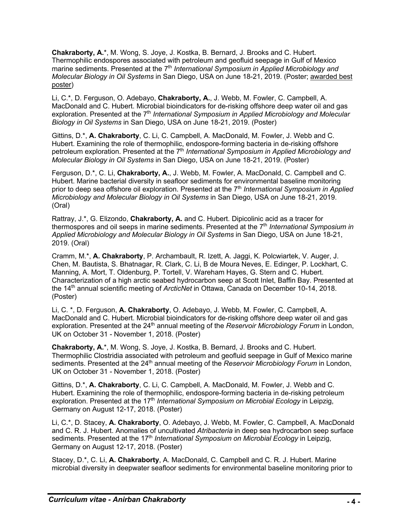**Chakraborty, A.**\*, M. Wong, S. Joye, J. Kostka, B. Bernard, J. Brooks and C. Hubert. Thermophilic endospores associated with petroleum and geofluid seepage in Gulf of Mexico marine sediments. Presented at the 7<sup>th</sup> *International Symposium in Applied Microbiology and Molecular Biology in Oil Systems* in San Diego, USA on June 18-21, 2019. (Poster; awarded best poster)

Li, C.\*, D. Ferguson, O. Adebayo, **Chakraborty, A.**, J. Webb, M. Fowler, C. Campbell, A. MacDonald and C. Hubert. Microbial bioindicators for de-risking offshore deep water oil and gas exploration. Presented at the 7<sup>th</sup> International Symposium in Applied Microbiology and Molecular *Biology in Oil Systems* in San Diego, USA on June 18-21, 2019. (Poster)

Gittins, D.\*, **A. Chakraborty**, C. Li, C. Campbell, A. MacDonald, M. Fowler, J. Webb and C. Hubert. Examining the role of thermophilic, endospore-forming bacteria in de-risking offshore petroleum exploration. Presented at the 7<sup>th</sup> *International Symposium in Applied Microbiology and Molecular Biology in Oil Systems* in San Diego, USA on June 18-21, 2019. (Poster)

Ferguson, D.\*, C. Li, **Chakraborty, A.**, J. Webb, M. Fowler, A. MacDonald, C. Campbell and C. Hubert. Marine bacterial diversity in seafloor sediments for environmental baseline monitoring prior to deep sea offshore oil exploration. Presented at the 7<sup>th</sup> *International Symposium in Applied Microbiology and Molecular Biology in Oil Systems* in San Diego, USA on June 18-21, 2019. (Oral)

Rattray, J.\*, G. Elizondo, **Chakraborty, A.** and C. Hubert. Dipicolinic acid as a tracer for thermospores and oil seeps in marine sediments. Presented at the 7<sup>th</sup> *International Symposium in Applied Microbiology and Molecular Biology in Oil Systems* in San Diego, USA on June 18-21, 2019. (Oral)

Cramm, M.\*, **A. Chakraborty**, P. Archambault, R. Izett, A. Jaggi, K. Polcwiartek, V. Auger, J. Chen, M. Bautista, S. Bhatnagar, R. Clark, C. Li, B de Moura Neves, E. Edinger, P. Lockhart, C. Manning, A. Mort, T. Oldenburg, P. Tortell, V. Wareham Hayes, G. Stern and C. Hubert. Characterization of a high arctic seabed hydrocarbon seep at Scott Inlet, Baffin Bay. Presented at the 14th annual scientific meeting of *ArcticNet* in Ottawa, Canada on December 10-14, 2018. (Poster)

Li, C. \*, D. Ferguson, **A. Chakraborty**, O. Adebayo, J. Webb, M. Fowler, C. Campbell, A. MacDonald and C. Hubert. Microbial bioindicators for de-risking offshore deep water oil and gas exploration. Presented at the 24<sup>th</sup> annual meeting of the *Reservoir Microbiology Forum* in London, UK on October 31 - November 1, 2018. (Poster)

**Chakraborty, A.**\*, M. Wong, S. Joye, J. Kostka, B. Bernard, J. Brooks and C. Hubert. Thermophilic Clostridia associated with petroleum and geofluid seepage in Gulf of Mexico marine sediments. Presented at the 24<sup>th</sup> annual meeting of the *Reservoir Microbiology Forum* in London, UK on October 31 - November 1, 2018. (Poster)

Gittins, D.\*, **A. Chakraborty**, C. Li, C. Campbell, A. MacDonald, M. Fowler, J. Webb and C. Hubert. Examining the role of thermophilic, endospore-forming bacteria in de-risking petroleum exploration. Presented at the 17<sup>th</sup> *International Symposium on Microbial Ecology* in Leipzig, Germany on August 12-17, 2018. (Poster)

Li, C.\*, D. Stacey, **A. Chakraborty**, O. Adebayo, J. Webb, M. Fowler, C. Campbell, A. MacDonald and C. R. J. Hubert. Anomalies of uncultivated *Atribacteria* in deep sea hydrocarbon seep surface sediments. Presented at the 17<sup>th</sup> *International Symposium on Microbial Ecology* in Leipzig, Germany on August 12-17, 2018. (Poster)

Stacey, D.\*, C. Li, **A. Chakraborty**, A. MacDonald, C. Campbell and C. R. J. Hubert. Marine microbial diversity in deepwater seafloor sediments for environmental baseline monitoring prior to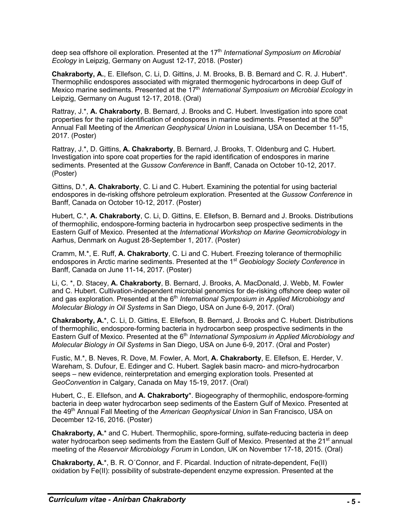deep sea offshore oil exploration. Presented at the 17th *International Symposium on Microbial Ecology* in Leipzig, Germany on August 12-17, 2018. (Poster)

**Chakraborty, A.**, E. Ellefson, C. Li, D. Gittins, J. M. Brooks, B. B. Bernard and C. R. J. Hubert\*. Thermophilic endospores associated with migrated thermogenic hydrocarbons in deep Gulf of Mexico marine sediments. Presented at the 17th *International Symposium on Microbial Ecology* in Leipzig, Germany on August 12-17, 2018. (Oral)

Rattray, J.\*, **A. Chakraborty**, B. Bernard, J. Brooks and C. Hubert. Investigation into spore coat properties for the rapid identification of endospores in marine sediments. Presented at the 50<sup>th</sup> Annual Fall Meeting of the *American Geophysical Union* in Louisiana, USA on December 11-15, 2017. (Poster)

Rattray, J.\*, D. Gittins, **A. Chakraborty**, B. Bernard, J. Brooks, T. Oldenburg and C. Hubert. Investigation into spore coat properties for the rapid identification of endospores in marine sediments. Presented at the *Gussow Conference* in Banff, Canada on October 10-12, 2017. (Poster)

Gittins, D.\*, **A. Chakraborty**, C. Li and C. Hubert. Examining the potential for using bacterial endospores in de-risking offshore petroleum exploration. Presented at the *Gussow Conference* in Banff, Canada on October 10-12, 2017. (Poster)

Hubert, C.\*, **A. Chakraborty**, C. Li, D. Gittins, E. Ellefson, B. Bernard and J. Brooks. Distributions of thermophilic, endospore-forming bacteria in hydrocarbon seep prospective sediments in the Eastern Gulf of Mexico. Presented at the *International Workshop on Marine Geomicrobiology* in Aarhus, Denmark on August 28-September 1, 2017. (Poster)

Cramm, M.\*, E. Ruff, **A. Chakraborty**, C. Li and C. Hubert. Freezing tolerance of thermophilic endospores in Arctic marine sediments. Presented at the 1st *Geobiology Society Conference* in Banff, Canada on June 11-14, 2017. (Poster)

Li, C. \*, D. Stacey, **A. Chakraborty**, B. Bernard, J. Brooks, A. MacDonald, J. Webb, M. Fowler and C. Hubert. Cultivation-independent microbial genomics for de-risking offshore deep water oil and gas exploration. Presented at the 6<sup>th</sup> International Symposium in Applied Microbiology and *Molecular Biology in Oil Systems* in San Diego, USA on June 6-9, 2017. (Oral)

**Chakraborty, A.**\*, C. Li, D. Gittins, E. Ellefson, B. Bernard, J. Brooks and C. Hubert. Distributions of thermophilic, endospore-forming bacteria in hydrocarbon seep prospective sediments in the Eastern Gulf of Mexico. Presented at the 6<sup>th</sup> *International Symposium in Applied Microbiology and Molecular Biology in Oil Systems* in San Diego, USA on June 6-9, 2017. (Oral and Poster)

Fustic, M.\*, B. Neves, R. Dove, M. Fowler, A. Mort, **A. Chakraborty**, E. Ellefson, E. Herder, V. Wareham, S. Dufour, E. Edinger and C. Hubert. Saglek basin macro- and micro-hydrocarbon seeps – new evidence, reinterpretation and emerging exploration tools. Presented at *GeoConvention* in Calgary, Canada on May 15-19, 2017. (Oral)

Hubert, C., E. Ellefson, and **A. Chakraborty**\*. Biogeography of thermophilic, endospore-forming bacteria in deep water hydrocarbon seep sediments of the Eastern Gulf of Mexico. Presented at the 49<sup>th</sup> Annual Fall Meeting of the *American Geophysical Union* in San Francisco, USA on December 12-16, 2016. (Poster)

**Chakraborty, A.**\* and C. Hubert. Thermophilic, spore-forming, sulfate-reducing bacteria in deep water hydrocarbon seep sediments from the Eastern Gulf of Mexico. Presented at the 21<sup>st</sup> annual meeting of the *Reservoir Microbiology Forum* in London, UK on November 17-18, 2015. (Oral)

**Chakraborty, A.**\*, B. R. O´Connor, and F. Picardal. Induction of nitrate-dependent, Fe(II) oxidation by Fe(II): possibility of substrate-dependent enzyme expression. Presented at the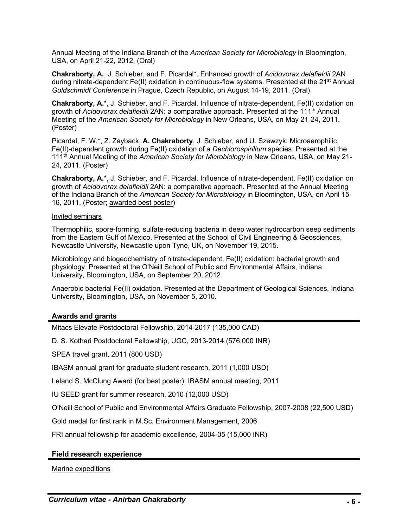Annual Meeting of the Indiana Branch of the *American Society for Microbiology* in Bloomington, USA, on April 21-22, 2012. (Oral)

**Chakraborty, A.**, J. Schieber, and F. Picardal\*. Enhanced growth of *Acidovorax delafieldii* 2AN during nitrate-dependent Fe(II) oxidation in continuous-flow systems. Presented at the  $21<sup>st</sup>$  Annual *Goldschmidt Conference* in Prague, Czech Republic, on August 14-19, 2011. (Oral)

**Chakraborty, A.**\*, J. Schieber, and F. Picardal. Influence of nitrate-dependent, Fe(II) oxidation on growth of *Acidovorax delafieldii* 2AN: a comparative approach. Presented at the 111th Annual Meeting of the *American Society for Microbiology* in New Orleans, USA, on May 21-24, 2011. (Poster)

Picardal, F. W.\*, Z. Zayback, **A. Chakraborty**, J. Schieber, and U. Szewzyk. Microaerophilic, Fe(II)-dependent growth during Fe(II) oxidation of a *Dechlorospirillum* species. Presented at the 111th Annual Meeting of the *American Society for Microbiology* in New Orleans, USA, on May 21- 24, 2011. (Poster)

**Chakraborty, A.**\*, J. Schieber, and F. Picardal. Influence of nitrate-dependent, Fe(II) oxidation on growth of *Acidovorax delafieldii* 2AN: a comparative approach. Presented at the Annual Meeting of the Indiana Branch of the *American Society for Microbiology* in Bloomington, USA, on April 15- 16, 2011. (Poster; awarded best poster)

#### Invited seminars

Thermophilic, spore-forming, sulfate-reducing bacteria in deep water hydrocarbon seep sediments from the Eastern Gulf of Mexico. Presented at the School of Civil Engineering & Geosciences, Newcastle University, Newcastle upon Tyne, UK, on November 19, 2015.

Microbiology and biogeochemistry of nitrate-dependent, Fe(II) oxidation: bacterial growth and physiology. Presented at the O'Neill School of Public and Environmental Affairs, Indiana University, Bloomington, USA, on September 20, 2012.

Anaerobic bacterial Fe(II) oxidation. Presented at the Department of Geological Sciences, Indiana University, Bloomington, USA, on November 5, 2010.

#### **Awards and grants**

Mitacs Elevate Postdoctoral Fellowship, 2014-2017 (135,000 CAD)

D. S. Kothari Postdoctoral Fellowship, UGC, 2013-2014 (576,000 INR)

SPEA travel grant, 2011 (800 USD)

IBASM annual grant for graduate student research, 2011 (1,000 USD)

Leland S. McClung Award (for best poster), IBASM annual meeting, 2011

IU SEED grant for summer research, 2010 (12,000 USD)

O'Neill School of Public and Environmental Affairs Graduate Fellowship, 2007-2008 (22,500 USD)

Gold medal for first rank in M.Sc. Environment Management, 2006

FRI annual fellowship for academic excellence, 2004-05 (15,000 INR)

#### **Field research experience**

Marine expeditions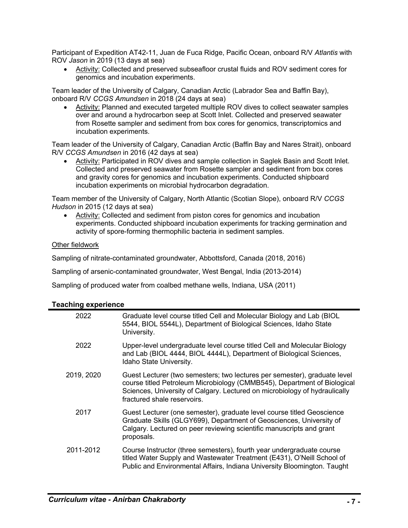Participant of Expedition AT42-11, Juan de Fuca Ridge, Pacific Ocean, onboard R/V *Atlantis* with ROV *Jason* in 2019 (13 days at sea)

• Activity: Collected and preserved subseafloor crustal fluids and ROV sediment cores for genomics and incubation experiments.

Team leader of the University of Calgary, Canadian Arctic (Labrador Sea and Baffin Bay), onboard R/V *CCGS Amundsen* in 2018 (24 days at sea)

• Activity: Planned and executed targeted multiple ROV dives to collect seawater samples over and around a hydrocarbon seep at Scott Inlet. Collected and preserved seawater from Rosette sampler and sediment from box cores for genomics, transcriptomics and incubation experiments.

Team leader of the University of Calgary, Canadian Arctic (Baffin Bay and Nares Strait), onboard R/V *CCGS Amundsen* in 2016 (42 days at sea)

• Activity: Participated in ROV dives and sample collection in Saglek Basin and Scott Inlet. Collected and preserved seawater from Rosette sampler and sediment from box cores and gravity cores for genomics and incubation experiments. Conducted shipboard incubation experiments on microbial hydrocarbon degradation.

Team member of the University of Calgary, North Atlantic (Scotian Slope), onboard R/V *CCGS Hudson* in 2015 (12 days at sea)

• Activity: Collected and sediment from piston cores for genomics and incubation experiments. Conducted shipboard incubation experiments for tracking germination and activity of spore-forming thermophilic bacteria in sediment samples.

#### Other fieldwork

Sampling of nitrate-contaminated groundwater, Abbottsford, Canada (2018, 2016)

Sampling of arsenic-contaminated groundwater, West Bengal, India (2013-2014)

Sampling of produced water from coalbed methane wells, Indiana, USA (2011)

#### **Teaching experience**

| 2022       | Graduate level course titled Cell and Molecular Biology and Lab (BIOL<br>5544, BIOL 5544L), Department of Biological Sciences, Idaho State<br>University.                                                                                                          |
|------------|--------------------------------------------------------------------------------------------------------------------------------------------------------------------------------------------------------------------------------------------------------------------|
| 2022       | Upper-level undergraduate level course titled Cell and Molecular Biology<br>and Lab (BIOL 4444, BIOL 4444L), Department of Biological Sciences,<br>Idaho State University.                                                                                         |
| 2019, 2020 | Guest Lecturer (two semesters; two lectures per semester), graduate level<br>course titled Petroleum Microbiology (CMMB545), Department of Biological<br>Sciences, University of Calgary. Lectured on microbiology of hydraulically<br>fractured shale reservoirs. |
| 2017       | Guest Lecturer (one semester), graduate level course titled Geoscience<br>Graduate Skills (GLGY699), Department of Geosciences, University of<br>Calgary. Lectured on peer reviewing scientific manuscripts and grant<br>proposals.                                |
| 2011-2012  | Course Instructor (three semesters), fourth year undergraduate course<br>titled Water Supply and Wastewater Treatment (E431), O'Neill School of<br>Public and Environmental Affairs, Indiana University Bloomington. Taught                                        |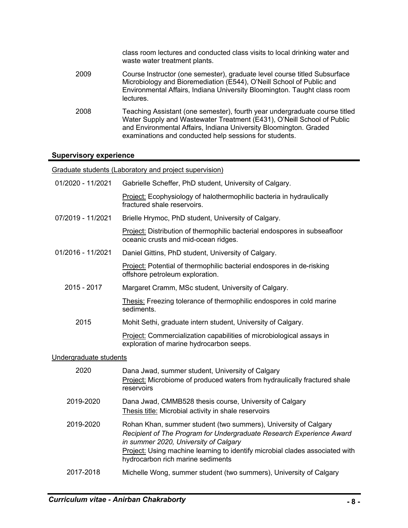class room lectures and conducted class visits to local drinking water and waste water treatment plants. 2009 Course Instructor (one semester), graduate level course titled Subsurface Microbiology and Bioremediation (E544), O'Neill School of Public and Environmental Affairs, Indiana University Bloomington. Taught class room lectures. 2008 Teaching Assistant (one semester), fourth year undergraduate course titled Water Supply and Wastewater Treatment (E431), O'Neill School of Public and Environmental Affairs, Indiana University Bloomington. Graded examinations and conducted help sessions for students.

#### **Supervisory experience**

Graduate students (Laboratory and project supervision)

| 01/2020 - 11/2021      | Gabrielle Scheffer, PhD student, University of Calgary.                                                                                                                                                                                                                                               |  |
|------------------------|-------------------------------------------------------------------------------------------------------------------------------------------------------------------------------------------------------------------------------------------------------------------------------------------------------|--|
|                        | Project: Ecophysiology of halothermophilic bacteria in hydraulically<br>fractured shale reservoirs.                                                                                                                                                                                                   |  |
| 07/2019 - 11/2021      | Brielle Hrymoc, PhD student, University of Calgary.                                                                                                                                                                                                                                                   |  |
|                        | Project: Distribution of thermophilic bacterial endospores in subseafloor<br>oceanic crusts and mid-ocean ridges.                                                                                                                                                                                     |  |
| 01/2016 - 11/2021      | Daniel Gittins, PhD student, University of Calgary.                                                                                                                                                                                                                                                   |  |
|                        | Project: Potential of thermophilic bacterial endospores in de-risking<br>offshore petroleum exploration.                                                                                                                                                                                              |  |
| 2015 - 2017            | Margaret Cramm, MSc student, University of Calgary.                                                                                                                                                                                                                                                   |  |
|                        | Thesis: Freezing tolerance of thermophilic endospores in cold marine<br>sediments.                                                                                                                                                                                                                    |  |
| 2015                   | Mohit Sethi, graduate intern student, University of Calgary.                                                                                                                                                                                                                                          |  |
|                        | Project: Commercialization capabilities of microbiological assays in<br>exploration of marine hydrocarbon seeps.                                                                                                                                                                                      |  |
| Undergraduate students |                                                                                                                                                                                                                                                                                                       |  |
| 2020                   | Dana Jwad, summer student, University of Calgary<br>Project: Microbiome of produced waters from hydraulically fractured shale<br>reservoirs                                                                                                                                                           |  |
| 2019-2020              | Dana Jwad, CMMB528 thesis course, University of Calgary<br>Thesis title: Microbial activity in shale reservoirs                                                                                                                                                                                       |  |
| 2019-2020              | Rohan Khan, summer student (two summers), University of Calgary<br>Recipient of The Program for Undergraduate Research Experience Award<br>in summer 2020, University of Calgary<br>Project: Using machine learning to identify microbial clades associated with<br>hydrocarbon rich marine sediments |  |
| 2017-2018              | Michelle Wong, summer student (two summers), University of Calgary                                                                                                                                                                                                                                    |  |